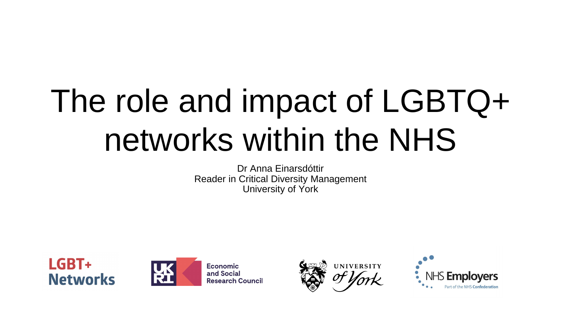## The role and impact of LGBTQ+ networks within the NHS

Dr Anna Einarsdóttir Reader in Critical Diversity Management University of York





**Economic** and Social **Research Council** 



**UNIVERSITY** 

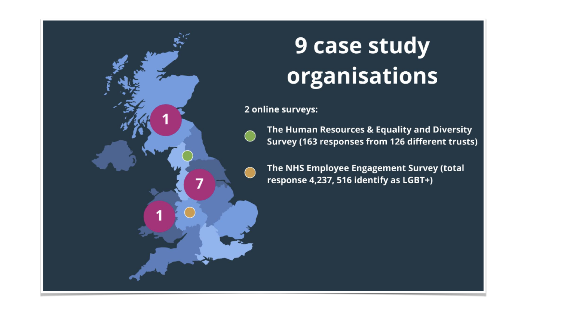

### **9 case study** organisations

2 online surveys:

- The Human Resources & Equality and Diversity Survey (163 responses from 126 different trusts)
- The NHS Employee Engagement Survey (total response 4,237, 516 identify as LGBT+)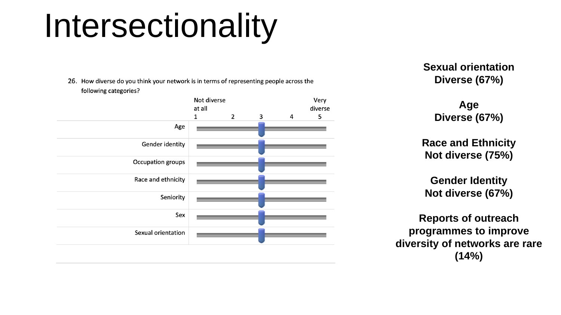**Sexual orientation Diverse (67%)**

> **Age Diverse (67%)**

**Race and Ethnicity Not diverse (75%)**

**Gender Identity Not diverse (67%)**

**Reports of outreach programmes to improve diversity of networks are rare (14%)**



### Intersectionality

26. How diverse do you think your network is in terms of representing people across the following categories?

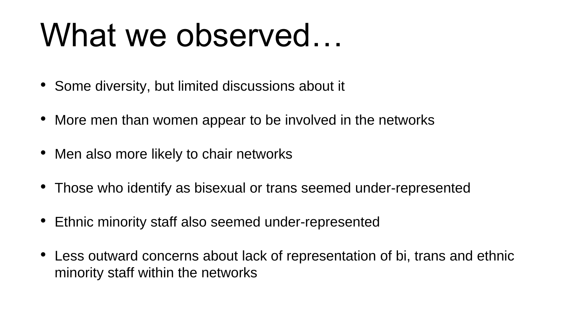## What we observed...

- Some diversity, but limited discussions about it
- More men than women appear to be involved in the networks
- Men also more likely to chair networks
- Those who identify as bisexual or trans seemed under-represented
- Ethnic minority staff also seemed under-represented
- Less outward concerns about lack of representation of bi, trans and ethnic minority staff within the networks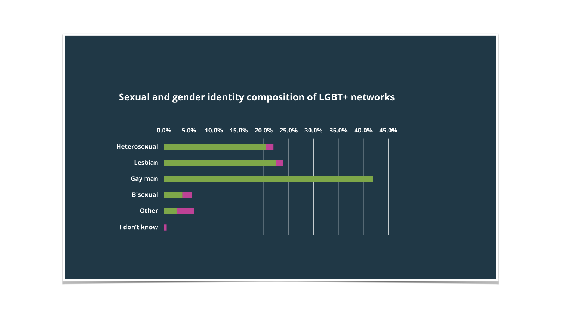### Sexual and gender identity composition of LGBT+ networks

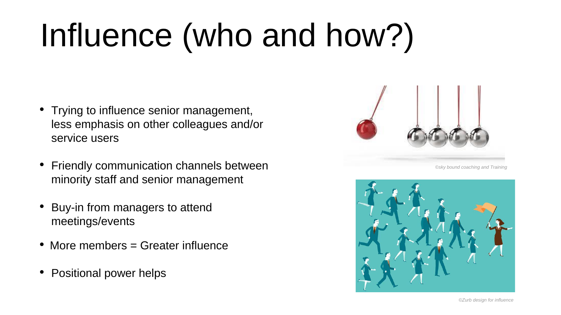## Influence (who and how?)

- Trying to influence senior management, less emphasis on other colleagues and/or service users
- Friendly communication channels between minority staff and senior management
- Buy-in from managers to attend meetings/events
- More members = Greater influence
- Positional power helps





*©Zurb design for influence*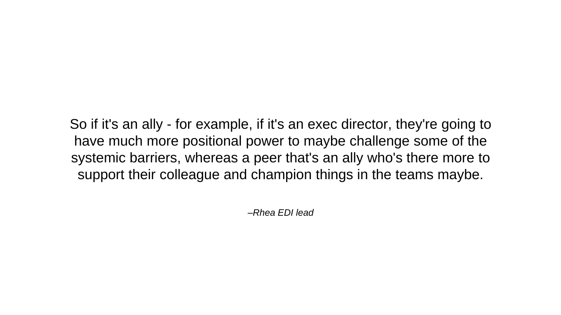*–Rhea EDI lead*

So if it's an ally - for example, if it's an exec director, they're going to have much more positional power to maybe challenge some of the systemic barriers, whereas a peer that's an ally who's there more to support their colleague and champion things in the teams maybe.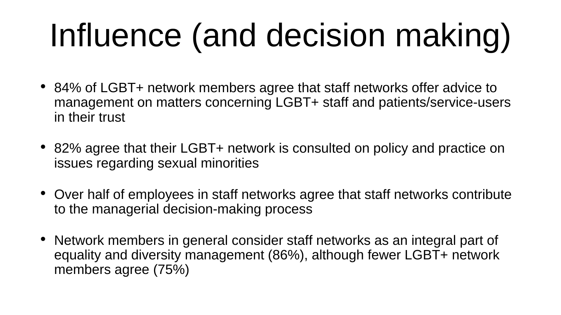# Influence (and decision making)

- 84% of LGBT+ network members agree that staff networks offer advice to management on matters concerning LGBT+ staff and patients/service-users in their trust
- 82% agree that their LGBT+ network is consulted on policy and practice on issues regarding sexual minorities
- Over half of employees in staff networks agree that staff networks contribute to the managerial decision-making process
- Network members in general consider staff networks as an integral part of equality and diversity management (86%), although fewer LGBT+ network members agree (75%)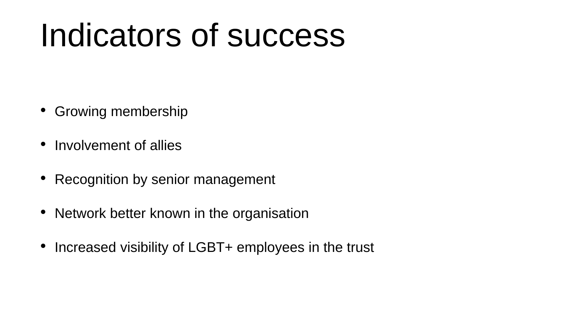## Indicators of success

- Growing membership
- Involvement of allies
- Recognition by senior management
- Network better known in the organisation
- Increased visibility of LGBT+ employees in the trust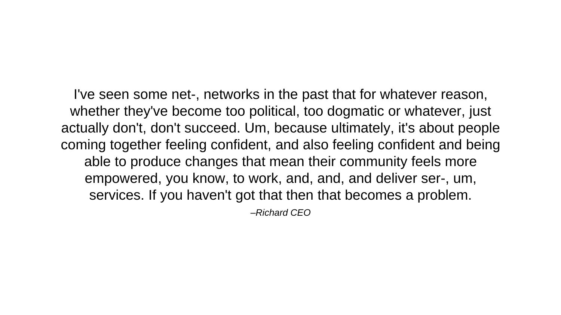*–Richard CEO* I've seen some net-, networks in the past that for whatever reason, whether they've become too political, too dogmatic or whatever, just actually don't, don't succeed. Um, because ultimately, it's about people coming together feeling confident, and also feeling confident and being able to produce changes that mean their community feels more empowered, you know, to work, and, and, and deliver ser-, um, services. If you haven't got that then that becomes a problem.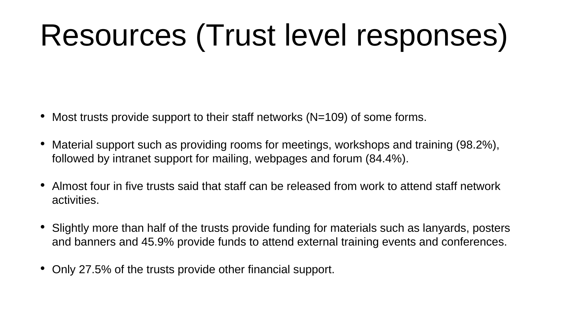## Resources (Trust level responses)

- Most trusts provide support to their staff networks (N=109) of some forms.
- Material support such as providing rooms for meetings, workshops and training (98.2%), followed by intranet support for mailing, webpages and forum (84.4%).
- Almost four in five trusts said that staff can be released from work to attend staff network activities.
- Slightly more than half of the trusts provide funding for materials such as lanyards, posters and banners and 45.9% provide funds to attend external training events and conferences.
- Only 27.5% of the trusts provide other financial support.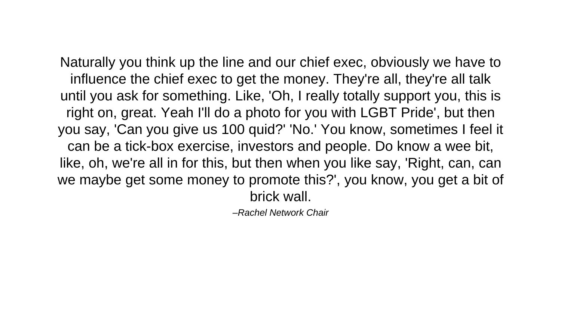*–Rachel Network Chair*

Naturally you think up the line and our chief exec, obviously we have to influence the chief exec to get the money. They're all, they're all talk until you ask for something. Like, 'Oh, I really totally support you, this is right on, great. Yeah I'll do a photo for you with LGBT Pride', but then you say, 'Can you give us 100 quid?' 'No.' You know, sometimes I feel it can be a tick-box exercise, investors and people. Do know a wee bit, like, oh, we're all in for this, but then when you like say, 'Right, can, can we maybe get some money to promote this?', you know, you get a bit of brick wall.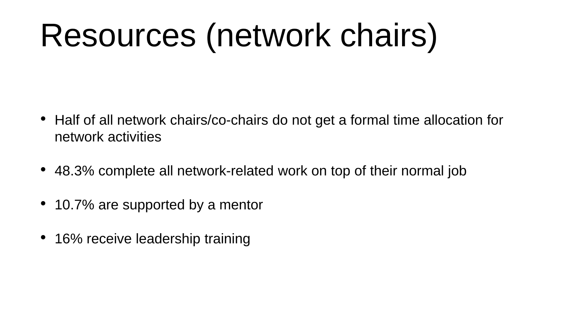## Resources (network chairs)

- network activities
- 48.3% complete all network-related work on top of their normal job
- 10.7% are supported by a mentor
- 16% receive leadership training

• Half of all network chairs/co-chairs do not get a formal time allocation for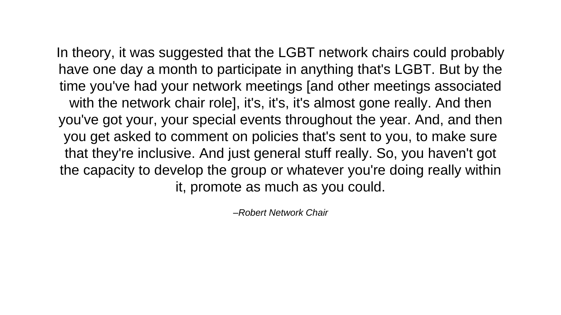*–Robert Network Chair*

In theory, it was suggested that the LGBT network chairs could probably have one day a month to participate in anything that's LGBT. But by the time you've had your network meetings [and other meetings associated with the network chair role], it's, it's, it's almost gone really. And then you've got your, your special events throughout the year. And, and then you get asked to comment on policies that's sent to you, to make sure that they're inclusive. And just general stuff really. So, you haven't got the capacity to develop the group or whatever you're doing really within it, promote as much as you could.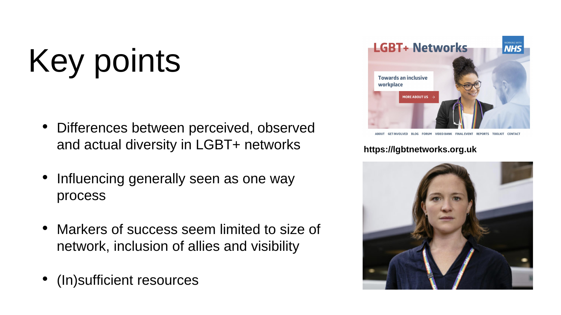- Differences between perceived, observed and actual diversity in LGBT+ networks
- Influencing generally seen as one way process
- Markers of success seem limited to size of network, inclusion of allies and visibility
- (In)sufficient resources



BLOG FORUM VIDEO BANK FINAL EVENT REPORTS TOOLKIT

# Key points

### **https://lgbtnetworks.org.uk**